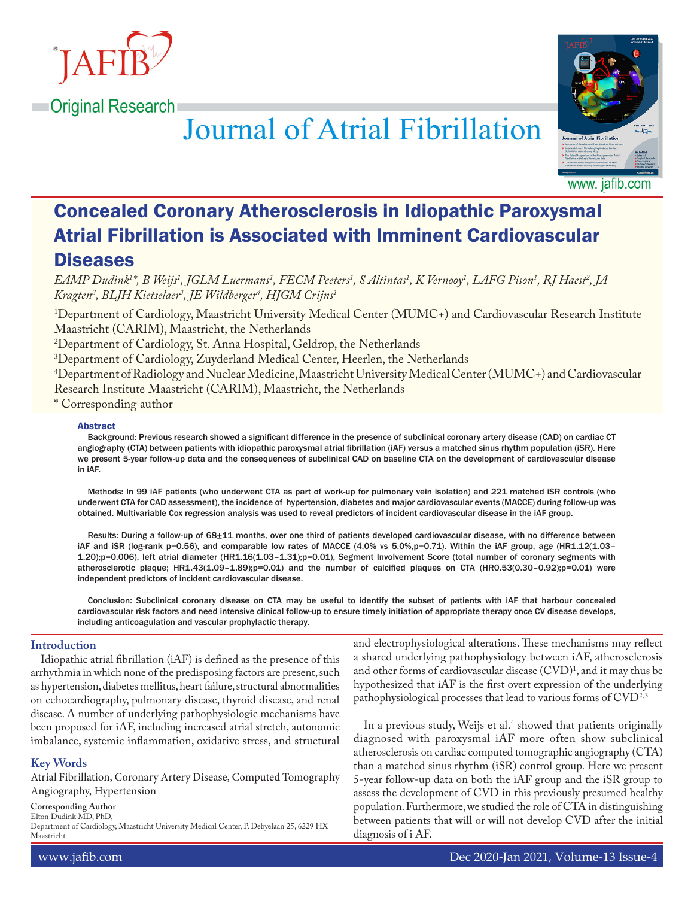

**Original Research** 



**Journal of Atrial Fibrillation** 

www. jafib.com

# Concealed Coronary Atherosclerosis in Idiopathic Paroxysmal Atrial Fibrillation is Associated with Imminent Cardiovascular **Diseases**

*EAMP Dudink1 \*, B Weijs1 , JGLM Luermans1 , FECM Peeters1 , S Altintas1 , K Vernooy1 , LAFG Pison1 , RJ Haest2 , JA Kragten3 , BLJH Kietselaer3 , JE Wildberger4 , HJGM Crijns1*

1 Department of Cardiology, Maastricht University Medical Center (MUMC+) and Cardiovascular Research Institute Maastricht (CARIM), Maastricht, the Netherlands

2 Department of Cardiology, St. Anna Hospital, Geldrop, the Netherlands

3 Department of Cardiology, Zuyderland Medical Center, Heerlen, the Netherlands

4 Department of Radiology and Nuclear Medicine, Maastricht University Medical Center (MUMC+) and Cardiovascular Research Institute Maastricht (CARIM), Maastricht, the Netherlands

\* Corresponding author

#### Abstract

Background: Previous research showed a significant difference in the presence of subclinical coronary artery disease (CAD) on cardiac CT angiography (CTA) between patients with idiopathic paroxysmal atrial fibrillation (iAF) versus a matched sinus rhythm population (iSR). Here we present 5-year follow-up data and the consequences of subclinical CAD on baseline CTA on the development of cardiovascular disease in iAF.

Methods: In 99 iAF patients (who underwent CTA as part of work-up for pulmonary vein isolation) and 221 matched iSR controls (who underwent CTA for CAD assessment), the incidence of hypertension, diabetes and major cardiovascular events (MACCE) during follow-up was obtained. Multivariable Cox regression analysis was used to reveal predictors of incident cardiovascular disease in the iAF group.

Results: During a follow-up of 68±11 months, over one third of patients developed cardiovascular disease, with no difference between iAF and iSR (log-rank p=0.56), and comparable low rates of MACCE (4.0% vs 5.0%,p=0.71). Within the iAF group, age (HR1.12(1.03– 1.20);p=0.006), left atrial diameter (HR1.16(1.03–1.31);p=0.01), Segment Involvement Score (total number of coronary segments with atherosclerotic plaque; HR1.43(1.09–1.89);p=0.01) and the number of calcified plaques on CTA (HR0.53(0.30–0.92);p=0.01) were independent predictors of incident cardiovascular disease.

Conclusion: Subclinical coronary disease on CTA may be useful to identify the subset of patients with iAF that harbour concealed cardiovascular risk factors and need intensive clinical follow-up to ensure timely initiation of appropriate therapy once CV disease develops, including anticoagulation and vascular prophylactic therapy.

# **Introduction**

Idiopathic atrial fibrillation (iAF) is defined as the presence of this arrhythmia in which none of the predisposing factors are present, such as hypertension, diabetes mellitus, heart failure, structural abnormalities on echocardiography, pulmonary disease, thyroid disease, and renal disease. A number of underlying pathophysiologic mechanisms have been proposed for iAF, including increased atrial stretch, autonomic imbalance, systemic inflammation, oxidative stress, and structural

# **Key Words**

Atrial Fibrillation, Coronary Artery Disease, Computed Tomography Angiography, Hypertension

**Corresponding Author**

Elton Dudink MD, PhD,

Department of Cardiology, Maastricht University Medical Center, P. Debyelaan 25, 6229 HX Maastricht

and electrophysiological alterations. These mechanisms may reflect a shared underlying pathophysiology between iAF, atherosclerosis and other forms of cardiovascular disease  $\rm (CVD)^1$ , and it may thus be hypothesized that iAF is the first overt expression of the underlying pathophysiological processes that lead to various forms of CVD<sup>2,3</sup>

In a previous study, Weijs et al. $4$  showed that patients originally diagnosed with paroxysmal iAF more often show subclinical atherosclerosis on cardiac computed tomographic angiography (CTA) than a matched sinus rhythm (iSR) control group. Here we present 5-year follow-up data on both the iAF group and the iSR group to assess the development of CVD in this previously presumed healthy population. Furthermore, we studied the role of CTA in distinguishing between patients that will or will not develop CVD after the initial diagnosis of i AF.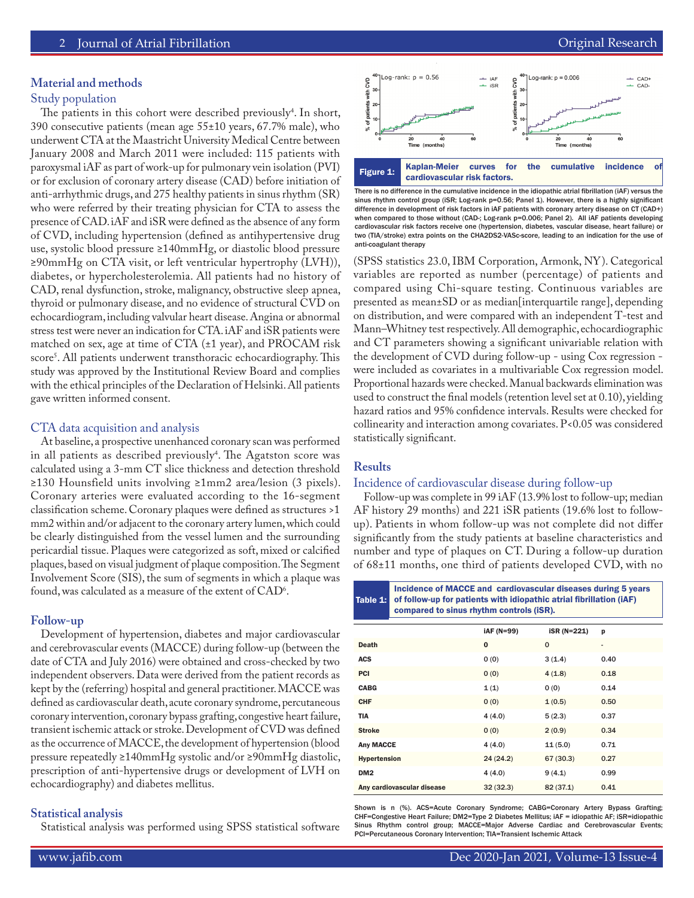#### **Material and methods**

## Study population

The patients in this cohort were described previously<sup>4</sup>. In short, 390 consecutive patients (mean age 55±10 years, 67.7% male), who underwent CTA at the Maastricht University Medical Centre between January 2008 and March 2011 were included: 115 patients with paroxysmal iAF as part of work-up for pulmonary vein isolation (PVI) or for exclusion of coronary artery disease (CAD) before initiation of anti-arrhythmic drugs, and 275 healthy patients in sinus rhythm (SR) who were referred by their treating physician for CTA to assess the presence of CAD. iAF and iSR were defined as the absence of any form of CVD, including hypertension (defined as antihypertensive drug use, systolic blood pressure ≥140mmHg, or diastolic blood pressure ≥90mmHg on CTA visit, or left ventricular hypertrophy (LVH)), diabetes, or hypercholesterolemia. All patients had no history of CAD, renal dysfunction, stroke, malignancy, obstructive sleep apnea, thyroid or pulmonary disease, and no evidence of structural CVD on echocardiogram, including valvular heart disease. Angina or abnormal stress test were never an indication for CTA. iAF and iSR patients were matched on sex, age at time of CTA (±1 year), and PROCAM risk score5 . All patients underwent transthoracic echocardiography. This study was approved by the Institutional Review Board and complies with the ethical principles of the Declaration of Helsinki. All patients gave written informed consent.

#### CTA data acquisition and analysis

At baseline, a prospective unenhanced coronary scan was performed in all patients as described previously<sup>4</sup>. The Agatston score was calculated using a 3-mm CT slice thickness and detection threshold ≥130 Hounsfield units involving ≥1mm2 area/lesion (3 pixels). Coronary arteries were evaluated according to the 16-segment classification scheme. Coronary plaques were defined as structures >1 mm2 within and/or adjacent to the coronary artery lumen, which could be clearly distinguished from the vessel lumen and the surrounding pericardial tissue. Plaques were categorized as soft, mixed or calcified plaques, based on visual judgment of plaque composition. The Segment Involvement Score (SIS), the sum of segments in which a plaque was found, was calculated as a measure of the extent of  $\rm CAD^{\circ}.$ 

#### **Follow-up**

Development of hypertension, diabetes and major cardiovascular and cerebrovascular events (MACCE) during follow-up (between the date of CTA and July 2016) were obtained and cross-checked by two independent observers. Data were derived from the patient records as kept by the (referring) hospital and general practitioner. MACCE was defined as cardiovascular death, acute coronary syndrome, percutaneous coronary intervention, coronary bypass grafting, congestive heart failure, transient ischemic attack or stroke. Development of CVD was defined as the occurrence of MACCE, the development of hypertension (blood pressure repeatedly ≥140mmHg systolic and/or ≥90mmHg diastolic, prescription of anti-hypertensive drugs or development of LVH on echocardiography) and diabetes mellitus.

#### **Statistical analysis**

Statistical analysis was performed using SPSS statistical software



There is no difference in the cumulative incidence in the idiopathic atrial fibrillation (iAF) versus the sinus rhythm control group (iSR; Log-rank p=0.56; Panel 1). However, there is a highly significant difference in development of risk factors in iAF patients with coronary artery disease on CT (CAD+) when compared to those without (CAD-; Log-rank p=0.006; Panel 2). All iAF patients developing cardiovascular risk factors receive one (hypertension, diabetes, vascular disease, heart failure) or two (TIA/stroke) extra points on the CHA2DS2-VASc-score, leading to an indication for the use of anti-coagulant therapy

(SPSS statistics 23.0, IBM Corporation, Armonk, NY). Categorical variables are reported as number (percentage) of patients and compared using Chi-square testing. Continuous variables are presented as mean±SD or as median[interquartile range], depending on distribution, and were compared with an independent T-test and Mann–Whitney test respectively. All demographic, echocardiographic and CT parameters showing a significant univariable relation with the development of CVD during follow-up - using Cox regression were included as covariates in a multivariable Cox regression model. Proportional hazards were checked. Manual backwards elimination was used to construct the final models (retention level set at 0.10), yielding hazard ratios and 95% confidence intervals. Results were checked for collinearity and interaction among covariates. P<0.05 was considered statistically significant.

# **Results**

#### Incidence of cardiovascular disease during follow-up

Follow-up was complete in 99 iAF (13.9% lost to follow-up; median AF history 29 months) and 221 iSR patients (19.6% lost to followup). Patients in whom follow-up was not complete did not differ significantly from the study patients at baseline characteristics and number and type of plaques on CT. During a follow-up duration of 68±11 months, one third of patients developed CVD, with no

Table 1: Incidence of MACCE and cardiovascular diseases during 5 years of follow-up for patients with idiopathic atrial fibrillation (iAF) compared to sinus rhythm controls (iSR). iAF (N=99) iSR (N=221) p Death **0** 0 0 -ACS  $0(0)$   $3(1.4)$  0.40 **PCI** 0 (0)  $4(1.8)$  0.18

| <b>CABG</b>                | 1(1)     | 0(0)      | 0.14 |
|----------------------------|----------|-----------|------|
| <b>CHF</b>                 | 0(0)     | 1(0.5)    | 0.50 |
| <b>TIA</b>                 | 4(4.0)   | 5(2.3)    | 0.37 |
| <b>Stroke</b>              | 0(0)     | 2(0.9)    | 0.34 |
| <b>Any MACCE</b>           | 4(4.0)   | 11(5.0)   | 0.71 |
| <b>Hypertension</b>        | 24(24.2) | 67(30.3)  | 0.27 |
| DM <sub>2</sub>            | 4(4.0)   | 9(4.1)    | 0.99 |
| Any cardiovascular disease | 32(32.3) | 82 (37.1) | 0.41 |

Shown is n (%). ACS=Acute Coronary Syndrome; CABG=Coronary Artery Bypass Grafting; CHF=Congestive Heart Failure; DM2=Type 2 Diabetes Mellitus; iAF = idiopathic AF; iSR=idiopathic Sinus Rhythm control group; MACCE=Major Adverse Cardiac and Cerebrovascular Events; PCI=Percutaneous Coronary Intervention; TIA=Transient Ischemic Attack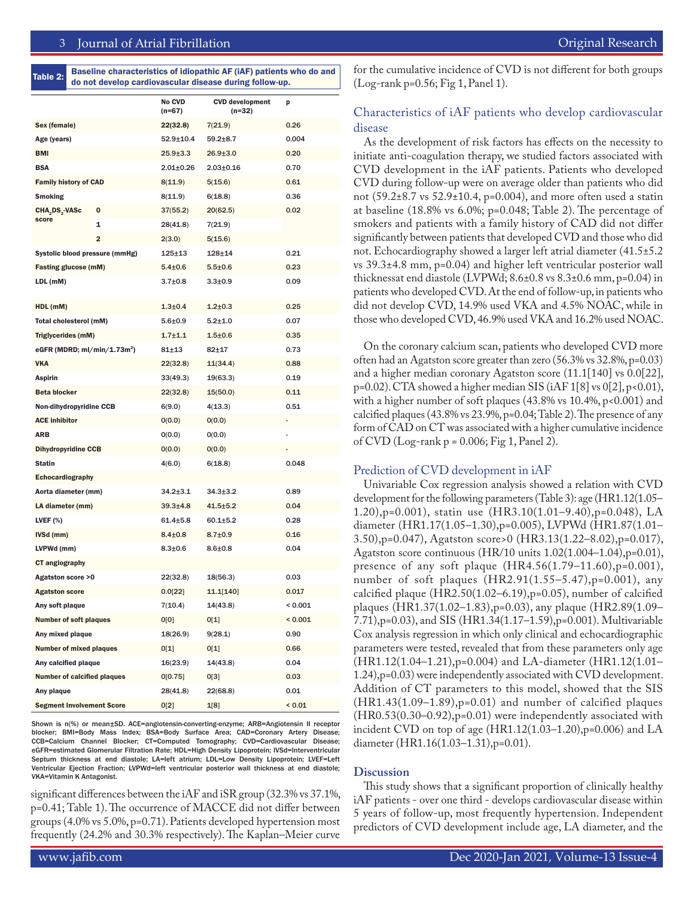Table 2: Baseline characteristics of idiopathic AF (iAF) patients who do and do not develop cardiovascular disease during follow-up.

|                                         |   | No CVD<br>$(n=67)$ | <b>CVD</b> development<br>(n=32) | p       |
|-----------------------------------------|---|--------------------|----------------------------------|---------|
| Sex (female)                            |   | 22(32.8)           | 7(21.9)                          | 0.26    |
| Age (years)                             |   | $52.9 \pm 10.4$    | $59.2 + 8.7$                     | 0.004   |
| <b>BMI</b>                              |   | $25.9 \pm 3.3$     | 26.9±3.0                         | 0.20    |
| <b>BSA</b>                              |   | $2.01 \pm 0.26$    | $2.03 \pm 0.16$                  | 0.70    |
| <b>Family history of CAD</b>            |   | 8(11.9)            | 5(15.6)                          | 0.61    |
| Smoking                                 |   | 8(11.9)            | 6(18.8)                          | 0.36    |
| CHA DS - VASc                           | 0 | 37(55.2)           | 20(62.5)                         | 0.02    |
| score                                   | 1 | 28(41.8)           | 7(21.9)                          |         |
|                                         | 2 | 2(3.0)             | 5(15.6)                          |         |
| Systolic blood pressure (mmHg)          |   | $125 + 13$         | 128±14                           | 0.21    |
| <b>Fasting glucose (mM)</b>             |   | $5.4{\pm}0.6$      | $5.5 \pm 0.6$                    | 0.23    |
| LDL (mM)                                |   | $3.7{\pm}0.8$      | $3.3 \pm 0.9$                    | 0.09    |
| HDL (mM)                                |   | $1.3{\pm}0.4$      | $1.2 + 0.3$                      | 0.25    |
| <b>Total cholesterol (mM)</b>           |   | $5.6{\pm}0.9$      | $5.2 \pm 1.0$                    | 0.07    |
| <b>Triglycerides (mM)</b>               |   | $1.7 + 1.1$        | $1.5 + 0.6$                      | 0.35    |
| eGFR (MDRD; ml/min/1.73m <sup>2</sup> ) |   | $81 + 13$          | 82±17                            | 0.73    |
| VKA                                     |   | 22(32.8)           | 11(34.4)                         | 0.88    |
| Aspirin                                 |   | 33(49.3)           | 19(63.3)                         | 0.19    |
| <b>Beta blocker</b>                     |   | 22(32.8)           | 15(50.0)                         | 0.11    |
| <b>Non-dihydropyridine CCB</b>          |   | 6(9.0)             | 4(13.3)                          | 0.51    |
| <b>ACE inhibitor</b>                    |   | 0(0.0)             | 0(0.0)                           |         |
| <b>ARB</b>                              |   | 0(0.0)             | 0(0.0)                           |         |
| <b>Dihydropyridine CCB</b>              |   | 0(0.0)             | 0(0.0)                           |         |
| <b>Statin</b>                           |   | 4(6.0)             | 6(18.8)                          | 0.048   |
| Echocardiography                        |   |                    |                                  |         |
| Aorta diameter (mm)                     |   | 34.2±3.1           | 34.3±3.2                         | 0.89    |
| LA diameter (mm)                        |   | $39.3 + 4.8$       | $41.5 + 5.2$                     | 0.04    |
| LVEF $(\%)$                             |   | $61.4 \pm 5.8$     | $60.1 + 5.2$                     | 0.28    |
| IVSd (mm)                               |   | $8.4 \pm 0.8$      | 8.7±0.9                          | 0.16    |
| LVPWd (mm)                              |   | $8.3{\pm}0.6$      | $8.6{\pm}0.8$                    | 0.04    |
| CT angiography                          |   |                    |                                  |         |
| Agatston score >0                       |   | 22(32.8)           | 18(56.3)                         | 0.03    |
| <b>Agatston score</b>                   |   | 0.0[22]            | 11.1[140]                        | 0.017   |
| Any soft plaque                         |   | 7(10.4)            | 14(43.8)                         | < 0.001 |
| <b>Number of soft plaques</b>           |   | O[0]               | 0[1]                             | < 0.001 |
| Any mixed plaque                        |   | 18(26.9)           | 9(28.1)                          | 0.90    |
| Number of mixed plaques                 |   | O[1]               | 0[1]                             | 0.66    |
| Any calcified plaque                    |   | 16(23.9)           | 14(43.8)                         | 0.04    |
| Number of calcified plaques             |   | 0[0.75]            | 0[3]                             | 0.03    |
| Any plaque                              |   | 28(41.8)           | 22(68.8)                         | 0.01    |
| <b>Segment Involvement Score</b>        |   | 0[2]               | 1[8]                             | < 0.01  |

Shown is n(%) or mean±SD. ACE=angiotensin-converting-enzyme; ARB=Angiotensin II receptor blocker; BMI=Body Mass Index; BSA=Body Surface Area; CAD=Coronary Artery Disease; CCB=Calcium Channel Blocker; CT=Computed Tomography; CVD=Cardiovascular Disease; eGFR=estimated Glomerular Filtration Rate; HDL=High Density Lipoprotein; IVSd=Interventricular Septum thickness at end diastole; LA=left atrium; LDL=Low Density Lipoprotein; LVEF=Left Ventricular Ejection Fraction; LVPWd=left ventricular posterior wall thickness at end diastole; VKA=Vitamin K Antagonist.

significant differences between the iAF and iSR group (32.3% vs 37.1%, p=0.41; Table 1). The occurrence of MACCE did not differ between groups (4.0% vs 5.0%, p=0.71). Patients developed hypertension most frequently (24.2% and 30.3% respectively). The Kaplan–Meier curve for the cumulative incidence of CVD is not different for both groups (Log-rank p=0.56; Fig 1, Panel 1).

# Characteristics of iAF patients who develop cardiovascular disease

As the development of risk factors has effects on the necessity to initiate anti-coagulation therapy, we studied factors associated with CVD development in the iAF patients. Patients who developed CVD during follow-up were on average older than patients who did not (59.2±8.7 vs 52.9±10.4, p=0.004), and more often used a statin at baseline (18.8% vs 6.0%; p=0.048; Table 2). The percentage of smokers and patients with a family history of CAD did not differ significantly between patients that developed CVD and those who did not. Echocardiography showed a larger left atrial diameter (41.5±5.2 vs 39.3±4.8 mm, p=0.04) and higher left ventricular posterior wall thicknessat end diastole (LVPWd; 8.6±0.8 vs 8.3±0.6 mm, p=0.04) in patients who developed CVD. At the end of follow-up, in patients who did not develop CVD, 14.9% used VKA and 4.5% NOAC, while in those who developed CVD, 46.9% used VKA and 16.2% used NOAC.

On the coronary calcium scan, patients who developed CVD more often had an Agatston score greater than zero (56.3% vs 32.8%, p=0.03) and a higher median coronary Agatston score (11.1[140] vs 0.0[22], p=0.02). CTA showed a higher median SIS (iAF  $1[8]$  vs  $0[2]$ , p<0.01), with a higher number of soft plaques (43.8% vs 10.4%, p<0.001) and calcified plaques (43.8% vs 23.9%, p=0.04; Table 2). The presence of any form of CAD on CT was associated with a higher cumulative incidence of CVD (Log-rank p = 0.006; Fig 1, Panel 2).

#### Prediction of CVD development in iAF

Univariable Cox regression analysis showed a relation with CVD development for the following parameters (Table 3): age (HR1.12(1.05– 1.20),p=0.001), statin use (HR3.10(1.01–9.40),p=0.048), LA diameter (HR1.17(1.05–1.30),p=0.005), LVPWd (HR1.87(1.01– 3.50),p=0.047), Agatston score>0 (HR3.13(1.22–8.02),p=0.017), Agatston score continuous (HR/10 units 1.02(1.004–1.04),p=0.01), presence of any soft plaque (HR4.56(1.79–11.60),p=0.001), number of soft plaques (HR2.91(1.55–5.47),p=0.001), any calcified plaque (HR2.50(1.02–6.19),p=0.05), number of calcified plaques (HR1.37(1.02–1.83),p=0.03), any plaque (HR2.89(1.09– 7.71),p=0.03), and SIS (HR1.34(1.17–1.59),p=0.001). Multivariable Cox analysis regression in which only clinical and echocardiographic parameters were tested, revealed that from these parameters only age (HR1.12(1.04–1.21),p=0.004) and LA-diameter (HR1.12(1.01– 1.24),p=0.03) were independently associated with CVD development. Addition of CT parameters to this model, showed that the SIS  $(HR1.43(1.09-1.89), p=0.01)$  and number of calcified plaques (HR0.53(0.30–0.92),p=0.01) were independently associated with incident CVD on top of age (HR1.12(1.03–1.20),p=0.006) and LA diameter (HR1.16(1.03–1.31),p=0.01).

#### **Discussion**

This study shows that a significant proportion of clinically healthy iAF patients - over one third - develops cardiovascular disease within 5 years of follow-up, most frequently hypertension. Independent predictors of CVD development include age, LA diameter, and the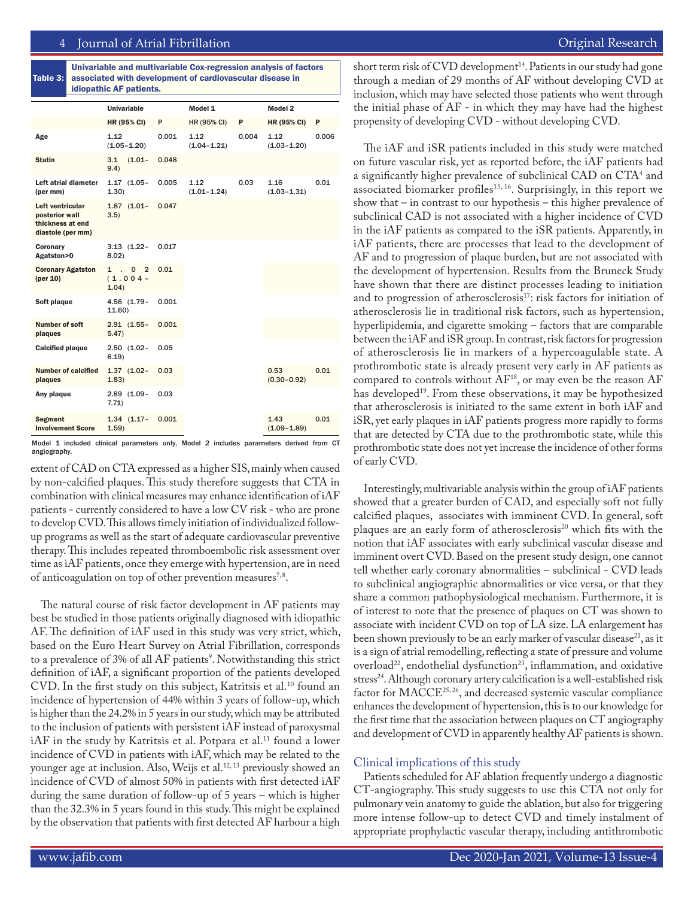### 4 Journal of Atrial Fibrillation **Access 2018** 2019 12:30 November 2018 2019 12:30 November 2019 12:30 November 201

|                                                                             | idiopathic AF patients. |                                                      |       |                         |       |                         |       |  |  |
|-----------------------------------------------------------------------------|-------------------------|------------------------------------------------------|-------|-------------------------|-------|-------------------------|-------|--|--|
|                                                                             |                         | <b>Univariable</b>                                   |       | Model 1                 |       | Model 2                 |       |  |  |
|                                                                             |                         | <b>HR (95% CI)</b>                                   | P     | HR (95% CI)             | P     | <b>HR (95% CI)</b>      | P     |  |  |
| Age                                                                         |                         | 1.12<br>$(1.05 - 1.20)$                              | 0.001 | 1.12<br>$(1.04 - 1.21)$ | 0.004 | 1.12<br>$(1.03 - 1.20)$ | 0.006 |  |  |
| <b>Statin</b>                                                               |                         | 3.1<br>$(1.01 -$<br>9.4)                             | 0.048 |                         |       |                         |       |  |  |
| Left atrial diameter<br>(per mm)                                            |                         | $1.17$ $(1.05 -$<br>1.30)                            | 0.005 | 1.12<br>$(1.01 - 1.24)$ | 0.03  | 1.16<br>$(1.03 - 1.31)$ | 0.01  |  |  |
| Left ventricular<br>posterior wall<br>thickness at end<br>diastole (per mm) |                         | $1.87$ $(1.01 -$<br>3.5)                             | 0.047 |                         |       |                         |       |  |  |
| Coronary<br>Agatston>0                                                      |                         | $3.13(1.22 -$<br>8.02                                | 0.017 |                         |       |                         |       |  |  |
| <b>Coronary Agatston</b><br>(per 10)                                        |                         | $1 \quad 0$<br>$\overline{2}$<br>$(1.004 -$<br>1.04) | 0.01  |                         |       |                         |       |  |  |
| Soft plaque                                                                 |                         | 4.56 (1.79-<br>11.60                                 | 0.001 |                         |       |                         |       |  |  |
| Number of soft<br>plaques                                                   |                         | $2.91$ $(1.55 -$<br>5.47)                            | 0.001 |                         |       |                         |       |  |  |
| <b>Calcified plaque</b>                                                     |                         | $2.50$ $(1.02 -$<br>6.19)                            | 0.05  |                         |       |                         |       |  |  |
| <b>Number of calcified</b><br>plaques                                       |                         | $1.37$ $(1.02 -$<br>1.83)                            | 0.03  |                         |       | 0.53<br>$(0.30 - 0.92)$ | 0.01  |  |  |
| Any plaque                                                                  |                         | $2.89$ $(1.09 -$<br>7.71                             | 0.03  |                         |       |                         |       |  |  |
| <b>Segment</b><br><b>Involvement Score</b>                                  |                         | $1.34$ $(1.17 -$<br>1.59)                            | 0.001 |                         |       | 1.43<br>$(1.09 - 1.89)$ | 0.01  |  |  |

Table 3: Univariable and multivariable Cox-regression analysis of factors associated with development of cardiovascular disease in

Model 1 included clinical parameters only, Model 2 includes parameters derived from CT angiography.

extent of CAD on CTA expressed as a higher SIS, mainly when caused by non-calcified plaques. This study therefore suggests that CTA in combination with clinical measures may enhance identification of iAF patients - currently considered to have a low CV risk - who are prone to develop CVD. This allows timely initiation of individualized followup programs as well as the start of adequate cardiovascular preventive therapy. This includes repeated thromboembolic risk assessment over time as iAF patients, once they emerge with hypertension, are in need of anticoagulation on top of other prevention measures<sup>7,8</sup>.

The natural course of risk factor development in AF patients may best be studied in those patients originally diagnosed with idiopathic AF. The definition of iAF used in this study was very strict, which, based on the Euro Heart Survey on Atrial Fibrillation, corresponds to a prevalence of 3% of all AF patients<sup>9</sup>. Notwithstanding this strict definition of iAF, a significant proportion of the patients developed CVD. In the first study on this subject, Katritsis et al.<sup>10</sup> found an incidence of hypertension of 44% within 3 years of follow-up, which is higher than the 24.2% in 5 years in our study, which may be attributed to the inclusion of patients with persistent iAF instead of paroxysmal iAF in the study by Katritsis et al. Potpara et al.<sup>11</sup> found a lower incidence of CVD in patients with iAF, which may be related to the younger age at inclusion. Also, Weijs et al.<sup>12, 13</sup> previously showed an incidence of CVD of almost 50% in patients with first detected iAF during the same duration of follow-up of 5 years – which is higher than the 32.3% in 5 years found in this study. This might be explained by the observation that patients with first detected AF harbour a high

short term risk of CVD development<sup>14</sup>. Patients in our study had gone through a median of 29 months of AF without developing CVD at inclusion, which may have selected those patients who went through the initial phase of AF - in which they may have had the highest propensity of developing CVD - without developing CVD.

The iAF and iSR patients included in this study were matched on future vascular risk, yet as reported before, the iAF patients had a significantly higher prevalence of subclinical CAD on CTA<sup>4</sup> and associated biomarker profiles<sup>15, 16</sup>. Surprisingly, in this report we show that – in contrast to our hypothesis – this higher prevalence of subclinical CAD is not associated with a higher incidence of CVD in the iAF patients as compared to the iSR patients. Apparently, in iAF patients, there are processes that lead to the development of AF and to progression of plaque burden, but are not associated with the development of hypertension. Results from the Bruneck Study have shown that there are distinct processes leading to initiation and to progression of atherosclerosis<sup>17</sup>: risk factors for initiation of atherosclerosis lie in traditional risk factors, such as hypertension, hyperlipidemia, and cigarette smoking – factors that are comparable between the iAF and iSR group. In contrast, risk factors for progression of atherosclerosis lie in markers of a hypercoagulable state. A prothrombotic state is already present very early in AF patients as compared to controls without  $AF^{18}$ , or may even be the reason  $AF$ has developed<sup>19</sup>. From these observations, it may be hypothesized that atherosclerosis is initiated to the same extent in both iAF and iSR, yet early plaques in iAF patients progress more rapidly to forms that are detected by CTA due to the prothrombotic state, while this prothrombotic state does not yet increase the incidence of other forms of early CVD.

Interestingly, multivariable analysis within the group of iAF patients showed that a greater burden of CAD, and especially soft not fully calcified plaques, associates with imminent CVD. In general, soft plaques are an early form of atherosclerosis<sup>20</sup> which fits with the notion that iAF associates with early subclinical vascular disease and imminent overt CVD. Based on the present study design, one cannot tell whether early coronary abnormalities – subclinical - CVD leads to subclinical angiographic abnormalities or vice versa, or that they share a common pathophysiological mechanism. Furthermore, it is of interest to note that the presence of plaques on CT was shown to associate with incident CVD on top of LA size. LA enlargement has been shown previously to be an early marker of vascular disease<sup>21</sup>, as it is a sign of atrial remodelling, reflecting a state of pressure and volume overload<sup>22</sup>, endothelial dysfunction<sup>23</sup>, inflammation, and oxidative stress<sup>24</sup>. Although coronary artery calcification is a well-established risk factor for MACCE25, 26, and decreased systemic vascular compliance enhances the development of hypertension, this is to our knowledge for the first time that the association between plaques on CT angiography and development of CVD in apparently healthy AF patients is shown.

#### Clinical implications of this study

Patients scheduled for AF ablation frequently undergo a diagnostic CT-angiography. This study suggests to use this CTA not only for pulmonary vein anatomy to guide the ablation, but also for triggering more intense follow-up to detect CVD and timely instalment of appropriate prophylactic vascular therapy, including antithrombotic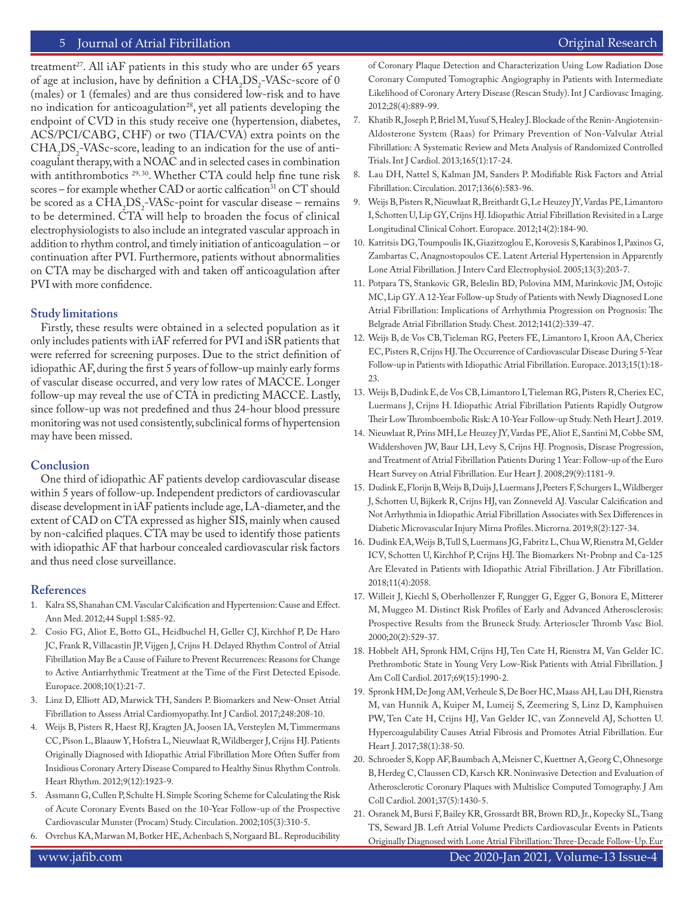## 5 Journal of Atrial Fibrillation **Community Community** Community Community Community Community Community Community

treatment<sup>27</sup>. All iAF patients in this study who are under  $65$  years of age at inclusion, have by definition a  $CHA<sub>2</sub>DS<sub>2</sub>$ -VASc-score of 0 (males) or 1 (females) and are thus considered low-risk and to have no indication for anticoagulation<sup>28</sup>, yet all patients developing the endpoint of CVD in this study receive one (hypertension, diabetes, ACS/PCI/CABG, CHF) or two (TIA/CVA) extra points on the  $CHA<sub>2</sub>DS<sub>2</sub> - VASC-score, leading to an indication for the use of anti$ coagulant therapy, with a NOAC and in selected cases in combination with antithrombotics <sup>29, 30</sup>. Whether CTA could help fine tune risk scores – for example whether CAD or aortic calfication<sup>31</sup> on CT should be scored as a  $CHA<sub>2</sub>DS<sub>2</sub> - VASC-point for vascular disease – remains$ to be determined. CTA will help to broaden the focus of clinical electrophysiologists to also include an integrated vascular approach in addition to rhythm control, and timely initiation of anticoagulation – or continuation after PVI. Furthermore, patients without abnormalities on CTA may be discharged with and taken off anticoagulation after PVI with more confidence.

#### **Study limitations**

Firstly, these results were obtained in a selected population as it only includes patients with iAF referred for PVI and iSR patients that were referred for screening purposes. Due to the strict definition of idiopathic AF, during the first 5 years of follow-up mainly early forms of vascular disease occurred, and very low rates of MACCE. Longer follow-up may reveal the use of CTA in predicting MACCE. Lastly, since follow-up was not predefined and thus 24-hour blood pressure monitoring was not used consistently, subclinical forms of hypertension may have been missed.

# **Conclusion**

One third of idiopathic AF patients develop cardiovascular disease within 5 years of follow-up. Independent predictors of cardiovascular disease development in iAF patients include age, LA-diameter, and the extent of CAD on CTA expressed as higher SIS, mainly when caused by non-calcified plaques. CTA may be used to identify those patients with idiopathic AF that harbour concealed cardiovascular risk factors and thus need close surveillance.

# **References**

- 1. Kalra SS, Shanahan CM. Vascular Calcification and Hypertension: Cause and Effect. Ann Med. 2012;44 Suppl 1:S85-92.
- 2. Cosio FG, Aliot E, Botto GL, Heidbuchel H, Geller CJ, Kirchhof P, De Haro JC, Frank R, Villacastin JP, Vijgen J, Crijns H. Delayed Rhythm Control of Atrial Fibrillation May Be a Cause of Failure to Prevent Recurrences: Reasons for Change to Active Antiarrhythmic Treatment at the Time of the First Detected Episode. Europace. 2008;10(1):21-7.
- 3. Linz D, Elliott AD, Marwick TH, Sanders P. Biomarkers and New-Onset Atrial Fibrillation to Assess Atrial Cardiomyopathy. Int J Cardiol. 2017;248:208-10.
- 4. Weijs B, Pisters R, Haest RJ, Kragten JA, Joosen IA, Versteylen M, Timmermans CC, Pison L, Blaauw Y, Hofstra L, Nieuwlaat R, Wildberger J, Crijns HJ. Patients Originally Diagnosed with Idiopathic Atrial Fibrillation More Often Suffer from Insidious Coronary Artery Disease Compared to Healthy Sinus Rhythm Controls. Heart Rhythm. 2012;9(12):1923-9.
- 5. Assmann G, Cullen P, Schulte H. Simple Scoring Scheme for Calculating the Risk of Acute Coronary Events Based on the 10-Year Follow-up of the Prospective Cardiovascular Munster (Procam) Study. Circulation. 2002;105(3):310-5.
- 6. Ovrehus KA, Marwan M, Botker HE, Achenbach S, Norgaard BL. Reproducibility

of Coronary Plaque Detection and Characterization Using Low Radiation Dose Coronary Computed Tomographic Angiography in Patients with Intermediate Likelihood of Coronary Artery Disease (Rescan Study). Int J Cardiovasc Imaging. 2012;28(4):889-99.

- 7. Khatib R, Joseph P, Briel M, Yusuf S, Healey J. Blockade of the Renin-Angiotensin-Aldosterone System (Raas) for Primary Prevention of Non-Valvular Atrial Fibrillation: A Systematic Review and Meta Analysis of Randomized Controlled Trials. Int J Cardiol. 2013;165(1):17-24.
- 8. Lau DH, Nattel S, Kalman JM, Sanders P. Modifiable Risk Factors and Atrial Fibrillation. Circulation. 2017;136(6):583-96.
- 9. Weijs B, Pisters R, Nieuwlaat R, Breithardt G, Le Heuzey JY, Vardas PE, Limantoro I, Schotten U, Lip GY, Crijns HJ. Idiopathic Atrial Fibrillation Revisited in a Large Longitudinal Clinical Cohort. Europace. 2012;14(2):184-90.
- 10. Katritsis DG, Toumpoulis IK, Giazitzoglou E, Korovesis S, Karabinos I, Paxinos G, Zambartas C, Anagnostopoulos CE. Latent Arterial Hypertension in Apparently Lone Atrial Fibrillation. J Interv Card Electrophysiol. 2005;13(3):203-7.
- 11. Potpara TS, Stankovic GR, Beleslin BD, Polovina MM, Marinkovic JM, Ostojic MC, Lip GY. A 12-Year Follow-up Study of Patients with Newly Diagnosed Lone Atrial Fibrillation: Implications of Arrhythmia Progression on Prognosis: The Belgrade Atrial Fibrillation Study. Chest. 2012;141(2):339-47.
- 12. Weijs B, de Vos CB, Tieleman RG, Peeters FE, Limantoro I, Kroon AA, Cheriex EC, Pisters R, Crijns HJ. The Occurrence of Cardiovascular Disease During 5-Year Follow-up in Patients with Idiopathic Atrial Fibrillation. Europace. 2013;15(1):18- 23.
- 13. Weijs B, Dudink E, de Vos CB, Limantoro I, Tieleman RG, Pisters R, Cheriex EC, Luermans J, Crijns H. Idiopathic Atrial Fibrillation Patients Rapidly Outgrow Their Low Thromboembolic Risk: A 10-Year Follow-up Study. Neth Heart J. 2019.
- 14. Nieuwlaat R, Prins MH, Le Heuzey JY, Vardas PE, Aliot E, Santini M, Cobbe SM, Widdershoven JW, Baur LH, Levy S, Crijns HJ. Prognosis, Disease Progression, and Treatment of Atrial Fibrillation Patients During 1 Year: Follow-up of the Euro Heart Survey on Atrial Fibrillation. Eur Heart J. 2008;29(9):1181-9.
- 15. Dudink E, Florijn B, Weijs B, Duijs J, Luermans J, Peeters F, Schurgers L, Wildberger J, Schotten U, Bijkerk R, Crijns HJ, van Zonneveld AJ. Vascular Calcification and Not Arrhythmia in Idiopathic Atrial Fibrillation Associates with Sex Differences in Diabetic Microvascular Injury Mirna Profiles. Microrna. 2019;8(2):127-34.
- 16. Dudink EA, Weijs B, Tull S, Luermans JG, Fabritz L, Chua W, Rienstra M, Gelder ICV, Schotten U, Kirchhof P, Crijns HJ. The Biomarkers Nt-Probnp and Ca-125 Are Elevated in Patients with Idiopathic Atrial Fibrillation. J Atr Fibrillation. 2018;11(4):2058.
- 17. Willeit J, Kiechl S, Oberhollenzer F, Rungger G, Egger G, Bonora E, Mitterer M, Muggeo M. Distinct Risk Profiles of Early and Advanced Atherosclerosis: Prospective Results from the Bruneck Study. Arterioscler Thromb Vasc Biol. 2000;20(2):529-37.
- 18. Hobbelt AH, Spronk HM, Crijns HJ, Ten Cate H, Rienstra M, Van Gelder IC. Prethrombotic State in Young Very Low-Risk Patients with Atrial Fibrillation. J Am Coll Cardiol. 2017;69(15):1990-2.
- 19. Spronk HM, De Jong AM, Verheule S, De Boer HC, Maass AH, Lau DH, Rienstra M, van Hunnik A, Kuiper M, Lumeij S, Zeemering S, Linz D, Kamphuisen PW, Ten Cate H, Crijns HJ, Van Gelder IC, van Zonneveld AJ, Schotten U. Hypercoagulability Causes Atrial Fibrosis and Promotes Atrial Fibrillation. Eur Heart J. 2017;38(1):38-50.
- 20. Schroeder S, Kopp AF, Baumbach A, Meisner C, Kuettner A, Georg C, Ohnesorge B, Herdeg C, Claussen CD, Karsch KR. Noninvasive Detection and Evaluation of Atherosclerotic Coronary Plaques with Multislice Computed Tomography. J Am Coll Cardiol. 2001;37(5):1430-5.
- 21. Osranek M, Bursi F, Bailey KR, Grossardt BR, Brown RD, Jr., Kopecky SL, Tsang TS, Seward JB. Left Atrial Volume Predicts Cardiovascular Events in Patients Originally Diagnosed with Lone Atrial Fibrillation: Three-Decade Follow-Up. Eur